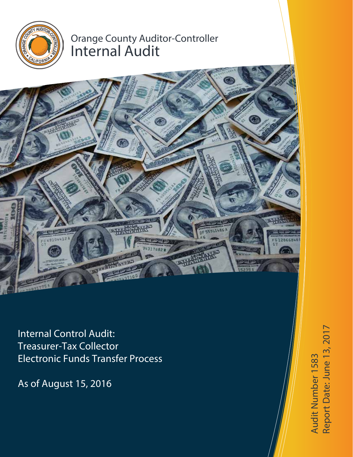

# Orange County Auditor-Controller Internal Audit

Internal Control Audit: Treasurer-Tax Collector Electronic Funds Transfer Process

As of August 15, 2016

te: June 13, 2017 Audit Number 1583 Audit Number 1583 Report D a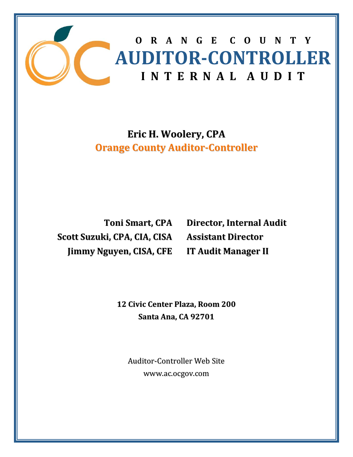

## **Eric H. Woolery, CPA Orange County Auditor‐Controller**

**Toni Smart, CPA Scott Suzuki, CPA, CIA, CISA Jimmy Nguyen, CISA, CFE**

**Director, Internal Audit Assistant Director IT Audit Manager II**

 **12 Civic Center Plaza, Room 200 Santa Ana, CA 92701**

Auditor‐Controller Web Site www.ac.ocgov.com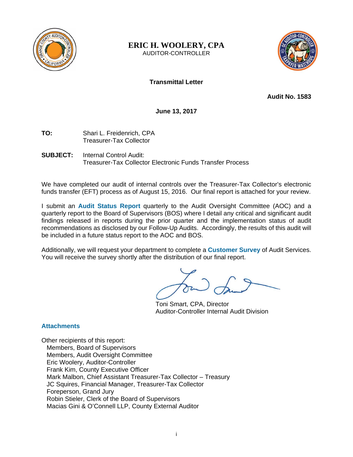

**ERIC H. WOOLERY, CPA**  AUDITOR-CONTROLLER



## **Transmittal Letter**

**Audit No. 1583** 

**June 13, 2017** 

- **TO:** Shari L. Freidenrich, CPA Treasurer-Tax Collector
- **SUBJECT:** Internal Control Audit: Treasurer-Tax Collector Electronic Funds Transfer Process

We have completed our audit of internal controls over the Treasurer-Tax Collector's electronic funds transfer (EFT) process as of August 15, 2016. Our final report is attached for your review.

I submit an **Audit Status Report** quarterly to the Audit Oversight Committee (AOC) and a quarterly report to the Board of Supervisors (BOS) where I detail any critical and significant audit findings released in reports during the prior quarter and the implementation status of audit recommendations as disclosed by our Follow-Up Audits. Accordingly, the results of this audit will be included in a future status report to the AOC and BOS.

Additionally, we will request your department to complete a **Customer Survey** of Audit Services. You will receive the survey shortly after the distribution of our final report.

 Toni Smart, CPA, Director Auditor-Controller Internal Audit Division

#### **Attachments**

Other recipients of this report: Members, Board of Supervisors Members, Audit Oversight Committee Eric Woolery, Auditor-Controller Frank Kim, County Executive Officer Mark Malbon, Chief Assistant Treasurer-Tax Collector – Treasury JC Squires, Financial Manager, Treasurer-Tax Collector Foreperson, Grand Jury Robin Stieler, Clerk of the Board of Supervisors Macias Gini & O'Connell LLP, County External Auditor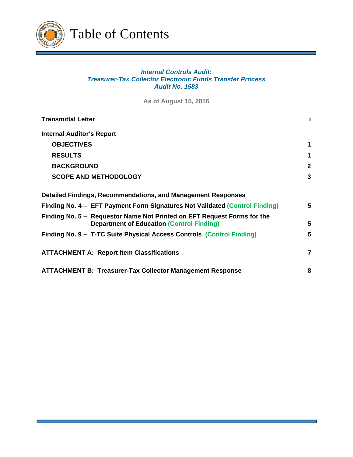

## *Internal Controls Audit: Treasurer-Tax Collector Electronic Funds Transfer Process Audit No. 1583*

**As of August 15, 2016** 

| <b>Transmittal Letter</b>                                                                                                   |                |
|-----------------------------------------------------------------------------------------------------------------------------|----------------|
| <b>Internal Auditor's Report</b>                                                                                            |                |
| <b>OBJECTIVES</b>                                                                                                           | 1              |
| <b>RESULTS</b>                                                                                                              | 1              |
| <b>BACKGROUND</b>                                                                                                           | $\mathbf{2}$   |
| <b>SCOPE AND METHODOLOGY</b>                                                                                                | 3              |
| Detailed Findings, Recommendations, and Management Responses                                                                |                |
| Finding No. 4 – EFT Payment Form Signatures Not Validated (Control Finding)                                                 | 5              |
| Finding No. 5 - Requestor Name Not Printed on EFT Request Forms for the<br><b>Department of Education (Control Finding)</b> | 5.             |
| Finding No. 9 - T-TC Suite Physical Access Controls (Control Finding)                                                       | 5              |
| <b>ATTACHMENT A: Report Item Classifications</b>                                                                            | $\overline{7}$ |
| <b>ATTACHMENT B: Treasurer-Tax Collector Management Response</b>                                                            | 8              |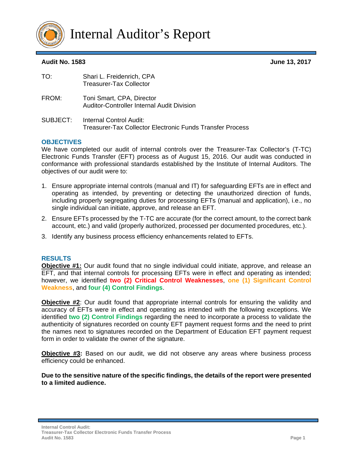

Internal Auditor's Report

#### **Audit No. 1583 June 13, 2017**

| TO:      | Shari L. Freidenrich, CPA<br><b>Treasurer-Tax Collector</b>                                 |
|----------|---------------------------------------------------------------------------------------------|
| FROM:    | Toni Smart, CPA, Director<br>Auditor-Controller Internal Audit Division                     |
| SUBJECT: | Internal Control Audit:<br><b>Treasurer-Tax Collector Electronic Funds Transfer Process</b> |

#### **OBJECTIVES**

We have completed our audit of internal controls over the Treasurer-Tax Collector's (T-TC) Electronic Funds Transfer (EFT) process as of August 15, 2016. Our audit was conducted in conformance with professional standards established by the Institute of Internal Auditors. The objectives of our audit were to:

- 1. Ensure appropriate internal controls (manual and IT) for safeguarding EFTs are in effect and operating as intended, by preventing or detecting the unauthorized direction of funds, including properly segregating duties for processing EFTs (manual and application), i.e., no single individual can initiate, approve, and release an EFT.
- 2. Ensure EFTs processed by the T-TC are accurate (for the correct amount, to the correct bank account, etc.) and valid (properly authorized, processed per documented procedures, etc.).
- 3. Identify any business process efficiency enhancements related to EFTs.

#### **RESULTS**

**Objective #1:** Our audit found that no single individual could initiate, approve, and release an EFT, and that internal controls for processing EFTs were in effect and operating as intended; however, we identified **two (2) Critical Control Weaknesses**, **one (1) Significant Control Weakness**, and **four (4) Control Findings**.

**Objective #2**: Our audit found that appropriate internal controls for ensuring the validity and accuracy of EFTs were in effect and operating as intended with the following exceptions. We identified **two (2) Control Findings** regarding the need to incorporate a process to validate the authenticity of signatures recorded on county EFT payment request forms and the need to print the names next to signatures recorded on the Department of Education EFT payment request form in order to validate the owner of the signature.

**Objective #3:** Based on our audit, we did not observe any areas where business process efficiency could be enhanced.

**Due to the sensitive nature of the specific findings, the details of the report were presented to a limited audience.**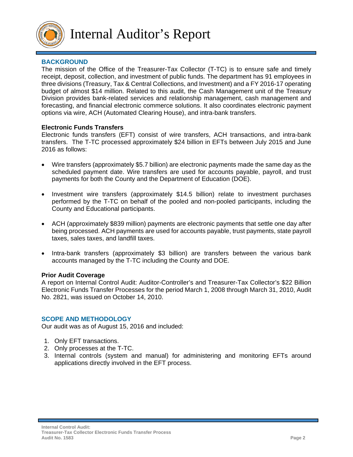

## **BACKGROUND**

The mission of the Office of the Treasurer-Tax Collector (T-TC) is to ensure safe and timely receipt, deposit, collection, and investment of public funds. The department has 91 employees in three divisions (Treasury, Tax & Central Collections, and Investment) and a FY 2016-17 operating budget of almost \$14 million. Related to this audit, the Cash Management unit of the Treasury Division provides bank-related services and relationship management, cash management and forecasting, and financial electronic commerce solutions. It also coordinates electronic payment options via wire, ACH (Automated Clearing House), and intra-bank transfers.

#### **Electronic Funds Transfers**

Electronic funds transfers (EFT) consist of wire transfers, ACH transactions, and intra-bank transfers. The T-TC processed approximately \$24 billion in EFTs between July 2015 and June 2016 as follows:

- Wire transfers (approximately \$5.7 billion) are electronic payments made the same day as the scheduled payment date. Wire transfers are used for accounts payable, payroll, and trust payments for both the County and the Department of Education (DOE).
- Investment wire transfers (approximately \$14.5 billion) relate to investment purchases performed by the T-TC on behalf of the pooled and non-pooled participants, including the County and Educational participants.
- ACH (approximately \$839 million) payments are electronic payments that settle one day after being processed. ACH payments are used for accounts payable, trust payments, state payroll taxes, sales taxes, and landfill taxes.
- Intra-bank transfers (approximately \$3 billion) are transfers between the various bank accounts managed by the T-TC including the County and DOE.

#### **Prior Audit Coverage**

A report on Internal Control Audit: Auditor-Controller's and Treasurer-Tax Collector's \$22 Billion Electronic Funds Transfer Processes for the period March 1, 2008 through March 31, 2010, Audit No. 2821, was issued on October 14, 2010.

#### **SCOPE AND METHODOLOGY**

Our audit was as of August 15, 2016 and included:

- 1. Only EFT transactions.
- 2. Only processes at the T-TC.
- 3. Internal controls (system and manual) for administering and monitoring EFTs around applications directly involved in the EFT process.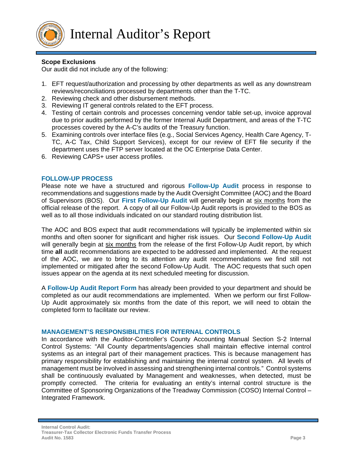

## **Scope Exclusions**

Our audit did not include any of the following:

- 1. EFT request/authorization and processing by other departments as well as any downstream reviews/reconciliations processed by departments other than the T-TC.
- 2. Reviewing check and other disbursement methods.
- 3. Reviewing IT general controls related to the EFT process.
- 4. Testing of certain controls and processes concerning vendor table set-up, invoice approval due to prior audits performed by the former Internal Audit Department, and areas of the T-TC processes covered by the A-C's audits of the Treasury function.
- 5. Examining controls over interface files (e.g., Social Services Agency, Health Care Agency, T-TC, A-C Tax, Child Support Services), except for our review of EFT file security if the department uses the FTP server located at the OC Enterprise Data Center.
- 6. Reviewing CAPS+ user access profiles.

#### **FOLLOW-UP PROCESS**

Please note we have a structured and rigorous **Follow-Up Audit** process in response to recommendations and suggestions made by the Audit Oversight Committee (AOC) and the Board of Supervisors (BOS). Our **First Follow-Up Audit** will generally begin at six months from the official release of the report. A copy of all our Follow-Up Audit reports is provided to the BOS as well as to all those individuals indicated on our standard routing distribution list.

The AOC and BOS expect that audit recommendations will typically be implemented within six months and often sooner for significant and higher risk issues. Our **Second Follow-Up Audit** will generally begin at six months from the release of the first Follow-Up Audit report, by which time **all** audit recommendations are expected to be addressed and implemented. At the request of the AOC, we are to bring to its attention any audit recommendations we find still not implemented or mitigated after the second Follow-Up Audit. The AOC requests that such open issues appear on the agenda at its next scheduled meeting for discussion.

A **Follow-Up Audit Report Form** has already been provided to your department and should be completed as our audit recommendations are implemented. When we perform our first Follow-Up Audit approximately six months from the date of this report, we will need to obtain the completed form to facilitate our review.

#### **MANAGEMENT'S RESPONSIBILITIES FOR INTERNAL CONTROLS**

In accordance with the Auditor-Controller's County Accounting Manual Section S-2 Internal Control Systems: "All County departments/agencies shall maintain effective internal control systems as an integral part of their management practices. This is because management has primary responsibility for establishing and maintaining the internal control system. All levels of management must be involved in assessing and strengthening internal controls." Control systems shall be continuously evaluated by Management and weaknesses, when detected, must be promptly corrected. The criteria for evaluating an entity's internal control structure is the Committee of Sponsoring Organizations of the Treadway Commission (COSO) Internal Control – Integrated Framework.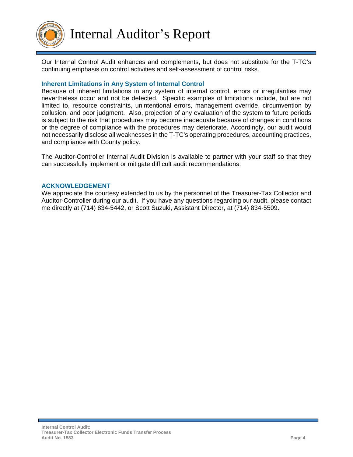

Our Internal Control Audit enhances and complements, but does not substitute for the T-TC's continuing emphasis on control activities and self-assessment of control risks.

#### **Inherent Limitations in Any System of Internal Control**

Because of inherent limitations in any system of internal control, errors or irregularities may nevertheless occur and not be detected. Specific examples of limitations include, but are not limited to, resource constraints, unintentional errors, management override, circumvention by collusion, and poor judgment. Also, projection of any evaluation of the system to future periods is subject to the risk that procedures may become inadequate because of changes in conditions or the degree of compliance with the procedures may deteriorate. Accordingly, our audit would not necessarily disclose all weaknesses in the T-TC's operating procedures, accounting practices, and compliance with County policy.

The Auditor-Controller Internal Audit Division is available to partner with your staff so that they can successfully implement or mitigate difficult audit recommendations.

#### **ACKNOWLEDGEMENT**

We appreciate the courtesy extended to us by the personnel of the Treasurer-Tax Collector and Auditor-Controller during our audit. If you have any questions regarding our audit, please contact me directly at (714) 834-5442, or Scott Suzuki, Assistant Director, at (714) 834-5509.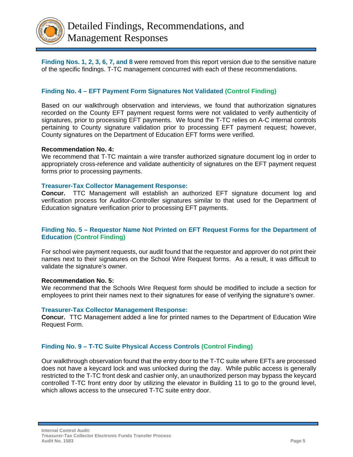

**Finding Nos. 1, 2, 3, 6, 7, and 8** were removed from this report version due to the sensitive nature of the specific findings. T-TC management concurred with each of these recommendations.

## **Finding No. 4 – EFT Payment Form Signatures Not Validated (Control Finding)**

Based on our walkthrough observation and interviews, we found that authorization signatures recorded on the County EFT payment request forms were not validated to verify authenticity of signatures, prior to processing EFT payments. We found the T-TC relies on A-C internal controls pertaining to County signature validation prior to processing EFT payment request; however, County signatures on the Department of Education EFT forms were verified.

#### **Recommendation No. 4:**

We recommend that T-TC maintain a wire transfer authorized signature document log in order to appropriately cross-reference and validate authenticity of signatures on the EFT payment request forms prior to processing payments.

#### **Treasurer-Tax Collector Management Response:**

**Concur.** TTC Management will establish an authorized EFT signature document log and verification process for Auditor-Controller signatures similar to that used for the Department of Education signature verification prior to processing EFT payments.

#### **Finding No. 5 – Requestor Name Not Printed on EFT Request Forms for the Department of Education (Control Finding)**

For school wire payment requests, our audit found that the requestor and approver do not print their names next to their signatures on the School Wire Request forms. As a result, it was difficult to validate the signature's owner.

#### **Recommendation No. 5:**

We recommend that the Schools Wire Request form should be modified to include a section for employees to print their names next to their signatures for ease of verifying the signature's owner.

#### **Treasurer-Tax Collector Management Response:**

**Concur.** TTC Management added a line for printed names to the Department of Education Wire Request Form.

#### **Finding No. 9 – T-TC Suite Physical Access Controls (Control Finding)**

Our walkthrough observation found that the entry door to the T-TC suite where EFTs are processed does not have a keycard lock and was unlocked during the day. While public access is generally restricted to the T-TC front desk and cashier only, an unauthorized person may bypass the keycard controlled T-TC front entry door by utilizing the elevator in Building 11 to go to the ground level, which allows access to the unsecured T-TC suite entry door.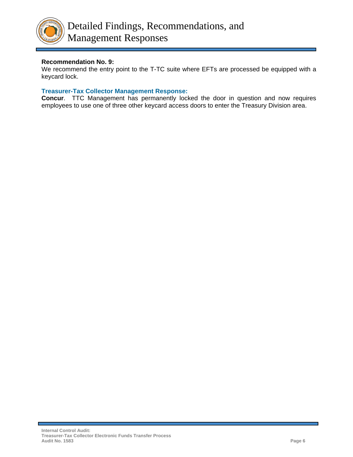

## **Recommendation No. 9:**

We recommend the entry point to the T-TC suite where EFTs are processed be equipped with a keycard lock.

## **Treasurer-Tax Collector Management Response:**

**Concur**. TTC Management has permanently locked the door in question and now requires employees to use one of three other keycard access doors to enter the Treasury Division area.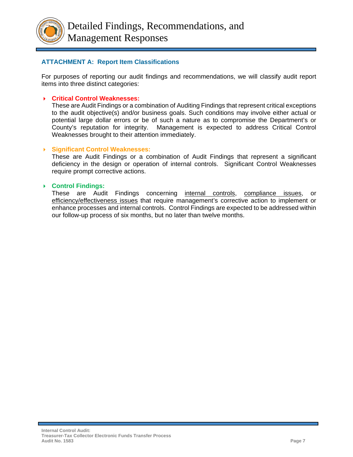

## **ATTACHMENT A: Report Item Classifications**

For purposes of reporting our audit findings and recommendations, we will classify audit report items into three distinct categories:

#### **Critical Control Weaknesses:**

These are Audit Findings or a combination of Auditing Findings that represent critical exceptions to the audit objective(s) and/or business goals. Such conditions may involve either actual or potential large dollar errors or be of such a nature as to compromise the Department's or County's reputation for integrity. Management is expected to address Critical Control Weaknesses brought to their attention immediately.

#### **Significant Control Weaknesses:**

These are Audit Findings or a combination of Audit Findings that represent a significant deficiency in the design or operation of internal controls. Significant Control Weaknesses require prompt corrective actions.

#### **Control Findings:**

These are Audit Findings concerning internal controls, compliance issues, efficiency/effectiveness issues that require management's corrective action to implement or enhance processes and internal controls. Control Findings are expected to be addressed within our follow-up process of six months, but no later than twelve months.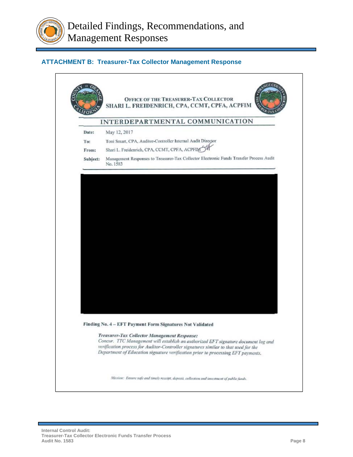

## **ATTACHMENT B: Treasurer-Tax Collector Management Response**